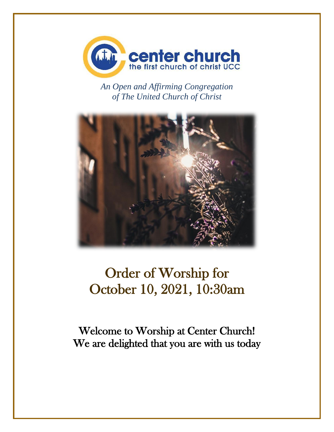

*An Open and Affirming Congregation of The United Church of Christ*



# Order of Worship for October 10, 2021, 10:30am

Welcome to Worship at Center Church! We are delighted that you are with us today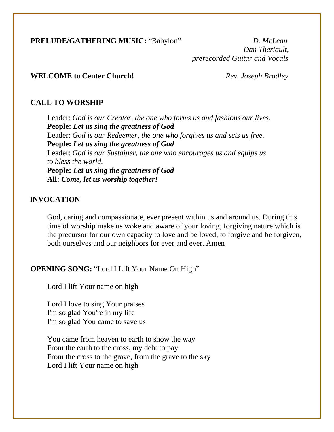# **PRELUDE/GATHERING MUSIC:** "Babylon"*D. McLean*

*Dan Theriault, prerecorded Guitar and Vocals*

# **WELCOME to Center Church!** *Rev. Joseph Bradley*

# **CALL TO WORSHIP**

Leader: *God is our Creator, the one who forms us and fashions our lives.* **People:** *Let us sing the greatness of God* Leader: *God is our Redeemer, the one who forgives us and sets us free.* **People:** *Let us sing the greatness of God* Leader: *God is our Sustainer, the one who encourages us and equips us to bless the world.* **People:** *Let us sing the greatness of God* **All:** *Come, let us worship together!*

# **INVOCATION**

God, caring and compassionate, ever present within us and around us. During this time of worship make us woke and aware of your loving, forgiving nature which is the precursor for our own capacity to love and be loved, to forgive and be forgiven, both ourselves and our neighbors for ever and ever. Amen

# **OPENING SONG:** "Lord I Lift Your Name On High"

Lord I lift Your name on high

Lord I love to sing Your praises I'm so glad You're in my life I'm so glad You came to save us

You came from heaven to earth to show the way From the earth to the cross, my debt to pay From the cross to the grave, from the grave to the sky Lord I lift Your name on high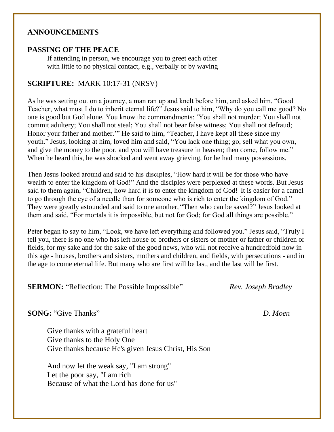# **ANNOUNCEMENTS**

#### **PASSING OF THE PEACE**

If attending in person, we encourage you to greet each other with little to no physical contact, e.g., verbally or by waving

### **SCRIPTURE:** MARK 10:17-31 (NRSV)

As he was setting out on a journey, a man ran up and knelt before him, and asked him, "Good Teacher, what must I do to inherit eternal life?" Jesus said to him, "Why do you call me good? No one is good but God alone. You know the commandments: 'You shall not murder; You shall not commit adultery; You shall not steal; You shall not bear false witness; You shall not defraud; Honor your father and mother.'" He said to him, "Teacher, I have kept all these since my youth." Jesus, looking at him, loved him and said, "You lack one thing; go, sell what you own, and give the money to the poor, and you will have treasure in heaven; then come, follow me." When he heard this, he was shocked and went away grieving, for he had many possessions.

Then Jesus looked around and said to his disciples, "How hard it will be for those who have wealth to enter the kingdom of God!" And the disciples were perplexed at these words. But Jesus said to them again, "Children, how hard it is to enter the kingdom of God! It is easier for a camel to go through the eye of a needle than for someone who is rich to enter the kingdom of God." They were greatly astounded and said to one another, "Then who can be saved?" Jesus looked at them and said, "For mortals it is impossible, but not for God; for God all things are possible."

Peter began to say to him, "Look, we have left everything and followed you." Jesus said, "Truly I tell you, there is no one who has left house or brothers or sisters or mother or father or children or fields, for my sake and for the sake of the good news, who will not receive a hundredfold now in this age - houses, brothers and sisters, mothers and children, and fields, with persecutions - and in the age to come eternal life. But many who are first will be last, and the last will be first.

**SERMON:** "Reflection: The Possible Impossible" *Rev. Joseph Bradley*

**SONG:** "Give Thanks" *D. Moen*

Give thanks with a grateful heart Give thanks to the Holy One Give thanks because He's given Jesus Christ, His Son

And now let the weak say, "I am strong" Let the poor say, "I am rich Because of what the Lord has done for us"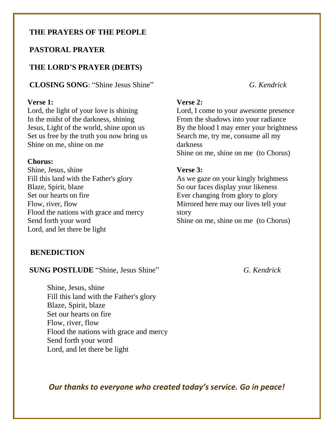### **THE PRAYERS OF THE PEOPLE**

#### **PASTORAL PRAYER**

# **THE LORD'S PRAYER (DEBTS)**

**CLOSING SONG**: "Shine Jesus Shine" *G. Kendrick*

#### **Verse 1:**

Lord, the light of your love is shining In the midst of the darkness, shining Jesus, Light of the world, shine upon us Set us free by the truth you now bring us Shine on me, shine on me

#### **Chorus:**

Shine, Jesus, shine Fill this land with the Father's glory Blaze, Spirit, blaze Set our hearts on fire Flow, river, flow Flood the nations with grace and mercy Send forth your word Lord, and let there be light

#### **BENEDICTION**

**SUNG POSTLUDE** "Shine, Jesus Shine" *G. Kendrick*

Shine, Jesus, shine Fill this land with the Father's glory Blaze, Spirit, blaze Set our hearts on fire Flow, river, flow Flood the nations with grace and mercy Send forth your word Lord, and let there be light

#### **Verse 2:**

Lord, I come to your awesome presence From the shadows into your radiance By the blood I may enter your brightness Search me, try me, consume all my darkness Shine on me, shine on me (to Chorus)

#### **Verse 3:**

As we gaze on your kingly brightness So our faces display your likeness Ever changing from glory to glory Mirrored here may our lives tell your story Shine on me, shine on me (to Chorus)

*Our thanks to everyone who created today's service. Go in peace!*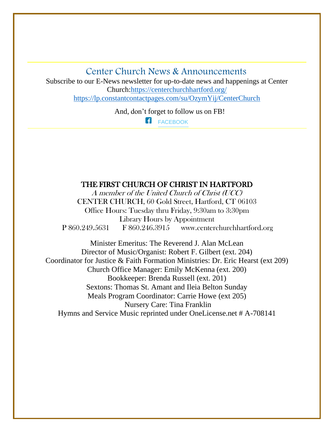# Center Church News & Announcements

Subscribe to our E-News newsletter for up-to-date news and happenings at Center Church[:https://centerchurchhartford.org/](https://centerchurchhartford.org/) <https://lp.constantcontactpages.com/su/OzymYij/CenterChurch>

And, don't forget to follow us on FB!

**[FACEBOOK](https://www.facebook.com/centerchurchhartford/)** 

# THE FIRST CHURCH OF CHRIST IN HARTFORD

A member of the United Church of Christ (UCC) CENTER CHURCH, 60 Gold Street, Hartford, CT 06103 Office Hours: Tuesday thru Friday, 9:30am to 3:30pm Library Hours by Appointment P 860.249.5631 F 860.246.3915 www.centerchurchhartford.org

Minister Emeritus: The Reverend J. Alan McLean Director of Music/Organist: Robert F. Gilbert (ext. 204) Coordinator for Justice & Faith Formation Ministries: Dr. Eric Hearst (ext 209) Church Office Manager: Emily McKenna (ext. 200) Bookkeeper: Brenda Russell (ext. 201) Sextons: Thomas St. Amant and Ileia Belton Sunday Meals Program Coordinator: Carrie Howe (ext 205) Nursery Care: Tina Franklin Hymns and Service Music reprinted under OneLicense.net # A-708141